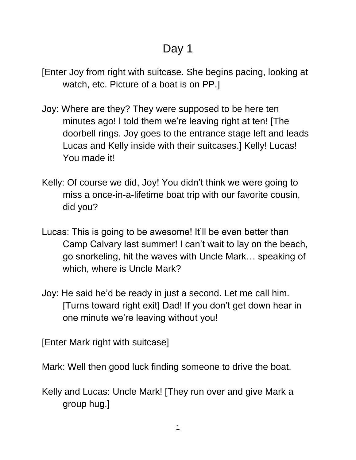## Day 1

- [Enter Joy from right with suitcase. She begins pacing, looking at watch, etc. Picture of a boat is on PP.]
- Joy: Where are they? They were supposed to be here ten minutes ago! I told them we're leaving right at ten! [The doorbell rings. Joy goes to the entrance stage left and leads Lucas and Kelly inside with their suitcases.] Kelly! Lucas! You made it!
- Kelly: Of course we did, Joy! You didn't think we were going to miss a once-in-a-lifetime boat trip with our favorite cousin, did you?
- Lucas: This is going to be awesome! It'll be even better than Camp Calvary last summer! I can't wait to lay on the beach, go snorkeling, hit the waves with Uncle Mark… speaking of which, where is Uncle Mark?
- Joy: He said he'd be ready in just a second. Let me call him. [Turns toward right exit] Dad! If you don't get down hear in one minute we're leaving without you!

[Enter Mark right with suitcase]

Mark: Well then good luck finding someone to drive the boat.

Kelly and Lucas: Uncle Mark! [They run over and give Mark a group hug.]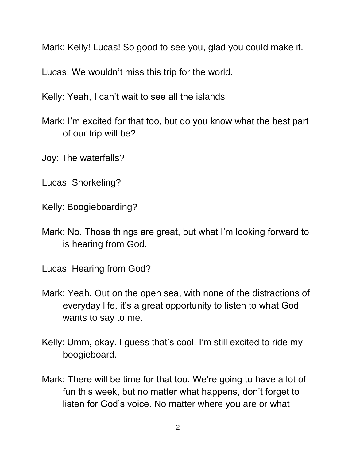Mark: Kelly! Lucas! So good to see you, glad you could make it.

Lucas: We wouldn't miss this trip for the world.

Kelly: Yeah, I can't wait to see all the islands

- Mark: I'm excited for that too, but do you know what the best part of our trip will be?
- Joy: The waterfalls?
- Lucas: Snorkeling?
- Kelly: Boogieboarding?
- Mark: No. Those things are great, but what I'm looking forward to is hearing from God.

Lucas: Hearing from God?

- Mark: Yeah. Out on the open sea, with none of the distractions of everyday life, it's a great opportunity to listen to what God wants to say to me.
- Kelly: Umm, okay. I guess that's cool. I'm still excited to ride my boogieboard.
- Mark: There will be time for that too. We're going to have a lot of fun this week, but no matter what happens, don't forget to listen for God's voice. No matter where you are or what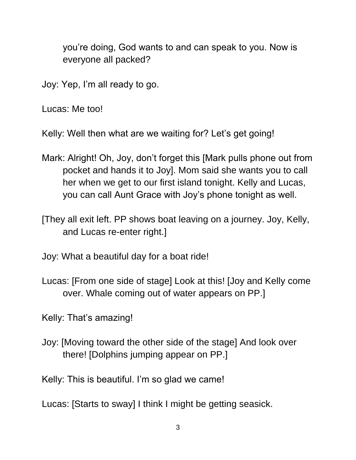you're doing, God wants to and can speak to you. Now is everyone all packed?

Joy: Yep, I'm all ready to go.

Lucas: Me too!

Kelly: Well then what are we waiting for? Let's get going!

- Mark: Alright! Oh, Joy, don't forget this [Mark pulls phone out from pocket and hands it to Joy]. Mom said she wants you to call her when we get to our first island tonight. Kelly and Lucas, you can call Aunt Grace with Joy's phone tonight as well.
- [They all exit left. PP shows boat leaving on a journey. Joy, Kelly, and Lucas re-enter right.]

Joy: What a beautiful day for a boat ride!

Lucas: [From one side of stage] Look at this! [Joy and Kelly come over. Whale coming out of water appears on PP.]

Kelly: That's amazing!

Joy: [Moving toward the other side of the stage] And look over there! [Dolphins jumping appear on PP.]

Kelly: This is beautiful. I'm so glad we came!

Lucas: [Starts to sway] I think I might be getting seasick.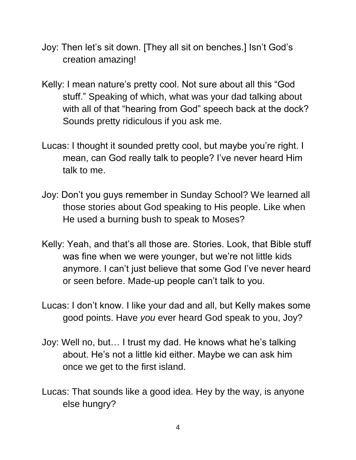- Joy: Then let's sit down. [They all sit on benches.] Isn't God's creation amazing!
- Kelly: I mean nature's pretty cool. Not sure about all this "God stuff." Speaking of which, what was your dad talking about with all of that "hearing from God" speech back at the dock? Sounds pretty ridiculous if you ask me.
- Lucas: I thought it sounded pretty cool, but maybe you're right. I mean, can God really talk to people? I've never heard Him talk to me.
- Joy: Don't you guys remember in Sunday School? We learned all those stories about God speaking to His people. Like when He used a burning bush to speak to Moses?
- Kelly: Yeah, and that's all those are. Stories. Look, that Bible stuff was fine when we were younger, but we're not little kids anymore. I can't just believe that some God I've never heard or seen before. Made-up people can't talk to you.
- Lucas: I don't know. I like your dad and all, but Kelly makes some good points. Have *you* ever heard God speak to you, Joy?
- Joy: Well no, but… I trust my dad. He knows what he's talking about. He's not a little kid either. Maybe we can ask him once we get to the first island.
- Lucas: That sounds like a good idea. Hey by the way, is anyone else hungry?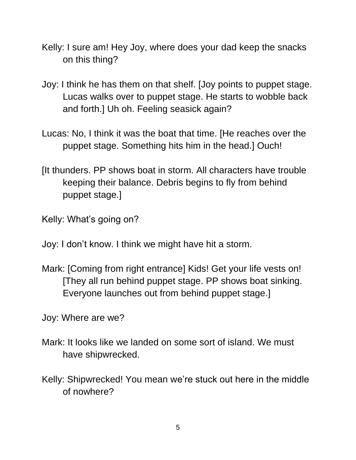- Kelly: I sure am! Hey Joy, where does your dad keep the snacks on this thing?
- Joy: I think he has them on that shelf. [Joy points to puppet stage. Lucas walks over to puppet stage. He starts to wobble back and forth.] Uh oh. Feeling seasick again?
- Lucas: No, I think it was the boat that time. [He reaches over the puppet stage. Something hits him in the head.] Ouch!
- [It thunders. PP shows boat in storm. All characters have trouble keeping their balance. Debris begins to fly from behind puppet stage.]
- Kelly: What's going on?
- Joy: I don't know. I think we might have hit a storm.
- Mark: [Coming from right entrance] Kids! Get your life vests on! [They all run behind puppet stage. PP shows boat sinking. Everyone launches out from behind puppet stage.]
- Joy: Where are we?
- Mark: It looks like we landed on some sort of island. We must have shipwrecked.
- Kelly: Shipwrecked! You mean we're stuck out here in the middle of nowhere?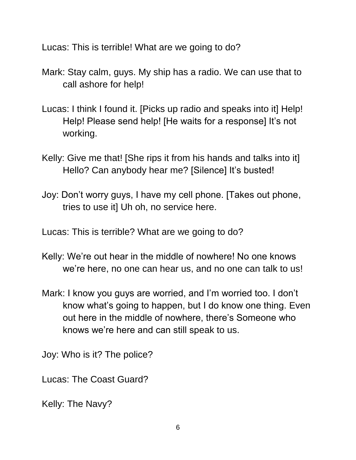Lucas: This is terrible! What are we going to do?

- Mark: Stay calm, guys. My ship has a radio. We can use that to call ashore for help!
- Lucas: I think I found it. [Picks up radio and speaks into it] Help! Help! Please send help! [He waits for a response] It's not working.
- Kelly: Give me that! [She rips it from his hands and talks into it] Hello? Can anybody hear me? [Silence] It's busted!
- Joy: Don't worry guys, I have my cell phone. [Takes out phone, tries to use it] Uh oh, no service here.

Lucas: This is terrible? What are we going to do?

- Kelly: We're out hear in the middle of nowhere! No one knows we're here, no one can hear us, and no one can talk to us!
- Mark: I know you guys are worried, and I'm worried too. I don't know what's going to happen, but I do know one thing. Even out here in the middle of nowhere, there's Someone who knows we're here and can still speak to us.

Joy: Who is it? The police?

Lucas: The Coast Guard?

Kelly: The Navy?